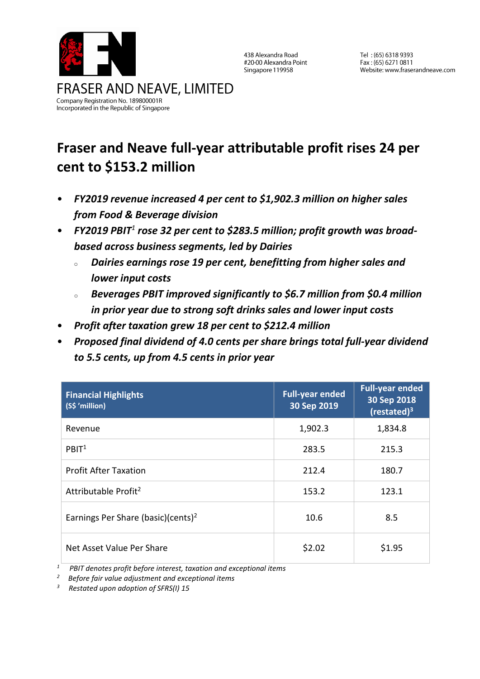

438 Alexandra Road #20-00 Alexandra Point Singapore 119958

Tel: (65) 6318 9393 Fax: (65) 6271 0811 Website: www.fraserandneave.com

# **Fraser and Neave full-year attributable profit rises 24 per cent to \$153.2 million**

- *FY2019 revenue increased 4 per cent to \$1,902.3 million on higher sales from Food & Beverage division*
- *FY2019 PBIT<sup>1</sup> rose 32 per cent to \$283.5 million; profit growth was broadbased across business segments, led by Dairies*
	- <sup>o</sup> *Dairies earnings rose 19 per cent, benefitting from higher sales and lower input costs*
	- <sup>o</sup> *Beverages PBIT improved significantly to \$6.7 million from \$0.4 million in prior year due to strong soft drinks sales and lower input costs*
- *Profit after taxation grew 18 per cent to \$212.4 million*
- *Proposed final dividend of 4.0 cents per share brings total full-year dividend to 5.5 cents, up from 4.5 cents in prior year*

| <b>Financial Highlights</b><br>(S\$ 'million)  | <b>Full-year ended</b><br>30 Sep 2019 | <b>Full-year ended</b><br>30 Sep 2018<br>$(restated)^3$ |
|------------------------------------------------|---------------------------------------|---------------------------------------------------------|
| Revenue                                        | 1,902.3                               | 1,834.8                                                 |
| PBIT <sup>1</sup>                              | 283.5                                 | 215.3                                                   |
| <b>Profit After Taxation</b>                   | 212.4                                 | 180.7                                                   |
| Attributable Profit <sup>2</sup>               | 153.2                                 | 123.1                                                   |
| Earnings Per Share (basic)(cents) <sup>2</sup> | 10.6                                  | 8.5                                                     |
| Net Asset Value Per Share                      | \$2.02                                | \$1.95                                                  |

*PBIT denotes profit before interest, taxation and exceptional items*<br>
<sup>2</sup> Pafore fair value adjustment and exceptional items

- *<sup>2</sup> Before fair value adjustment and exceptional items*
- *3 Restated upon adoption of SFRS(I) 15*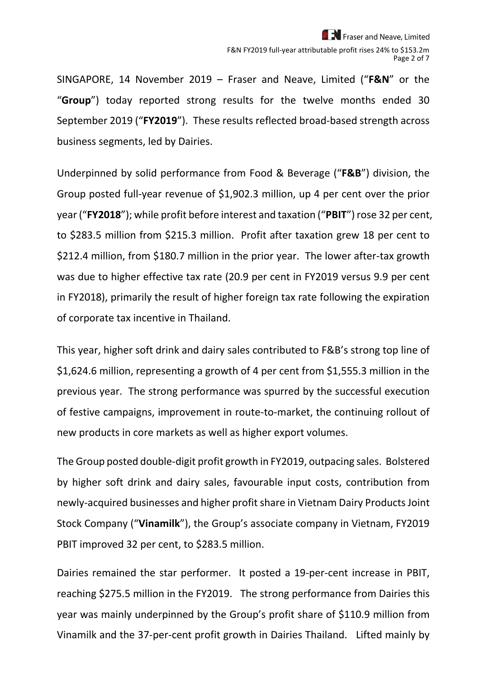Fraser and Neave, Limited F&N FY2019 full-year attributable profit rises 24% to \$153.2m Page 2 of 7

SINGAPORE, 14 November 2019 – Fraser and Neave, Limited ("**F&N**" or the "**Group**") today reported strong results for the twelve months ended 30 September 2019 ("**FY2019**"). These results reflected broad-based strength across business segments, led by Dairies.

Underpinned by solid performance from Food & Beverage ("**F&B**") division, the Group posted full-year revenue of \$1,902.3 million, up 4 per cent over the prior year ("**FY2018**"); while profit before interest and taxation ("**PBIT**") rose 32 per cent, to \$283.5 million from \$215.3 million. Profit after taxation grew 18 per cent to \$212.4 million, from \$180.7 million in the prior year. The lower after-tax growth was due to higher effective tax rate (20.9 per cent in FY2019 versus 9.9 per cent in FY2018), primarily the result of higher foreign tax rate following the expiration of corporate tax incentive in Thailand.

This year, higher soft drink and dairy sales contributed to F&B's strong top line of \$1,624.6 million, representing a growth of 4 per cent from \$1,555.3 million in the previous year. The strong performance was spurred by the successful execution of festive campaigns, improvement in route-to-market, the continuing rollout of new products in core markets as well as higher export volumes.

The Group posted double-digit profit growth in FY2019, outpacing sales. Bolstered by higher soft drink and dairy sales, favourable input costs, contribution from newly-acquired businesses and higher profit share in Vietnam Dairy Products Joint Stock Company ("**Vinamilk**"), the Group's associate company in Vietnam, FY2019 PBIT improved 32 per cent, to \$283.5 million.

Dairies remained the star performer. It posted a 19-per-cent increase in PBIT, reaching \$275.5 million in the FY2019. The strong performance from Dairies this year was mainly underpinned by the Group's profit share of \$110.9 million from Vinamilk and the 37-per-cent profit growth in Dairies Thailand. Lifted mainly by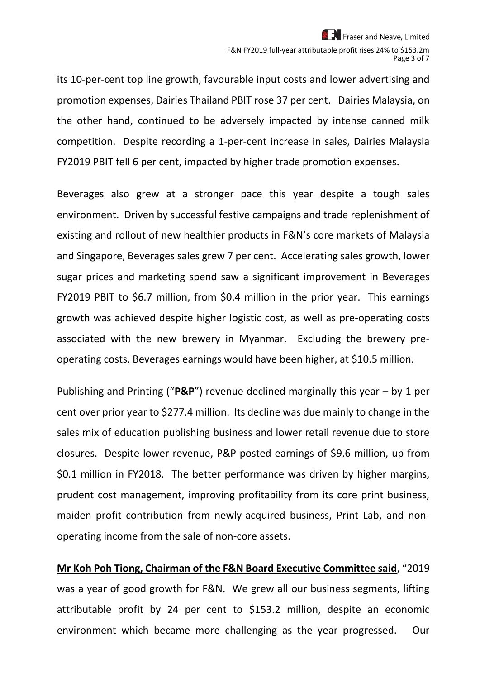its 10-per-cent top line growth, favourable input costs and lower advertising and promotion expenses, Dairies Thailand PBIT rose 37 per cent. Dairies Malaysia, on the other hand, continued to be adversely impacted by intense canned milk competition. Despite recording a 1-per-cent increase in sales, Dairies Malaysia FY2019 PBIT fell 6 per cent, impacted by higher trade promotion expenses.

Beverages also grew at a stronger pace this year despite a tough sales environment. Driven by successful festive campaigns and trade replenishment of existing and rollout of new healthier products in F&N's core markets of Malaysia and Singapore, Beverages sales grew 7 per cent. Accelerating sales growth, lower sugar prices and marketing spend saw a significant improvement in Beverages FY2019 PBIT to \$6.7 million, from \$0.4 million in the prior year. This earnings growth was achieved despite higher logistic cost, as well as pre-operating costs associated with the new brewery in Myanmar. Excluding the brewery preoperating costs, Beverages earnings would have been higher, at \$10.5 million.

Publishing and Printing ("**P&P**") revenue declined marginally this year – by 1 per cent over prior year to \$277.4 million. Its decline was due mainly to change in the sales mix of education publishing business and lower retail revenue due to store closures. Despite lower revenue, P&P posted earnings of \$9.6 million, up from \$0.1 million in FY2018. The better performance was driven by higher margins, prudent cost management, improving profitability from its core print business, maiden profit contribution from newly-acquired business, Print Lab, and nonoperating income from the sale of non-core assets.

**Mr Koh Poh Tiong, Chairman of the F&N Board Executive Committee said**, "2019 was a year of good growth for F&N. We grew all our business segments, lifting attributable profit by 24 per cent to \$153.2 million, despite an economic environment which became more challenging as the year progressed. Our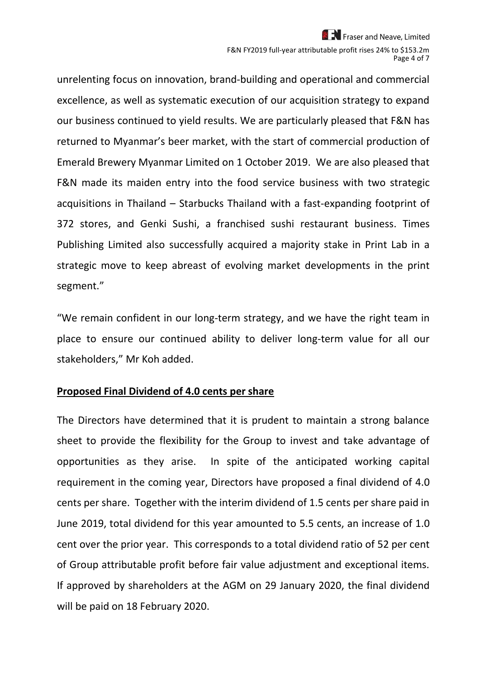Fraser and Neave, Limited F&N FY2019 full-year attributable profit rises 24% to \$153.2m Page 4 of 7

unrelenting focus on innovation, brand-building and operational and commercial excellence, as well as systematic execution of our acquisition strategy to expand our business continued to yield results. We are particularly pleased that F&N has returned to Myanmar's beer market, with the start of commercial production of Emerald Brewery Myanmar Limited on 1 October 2019. We are also pleased that F&N made its maiden entry into the food service business with two strategic acquisitions in Thailand – Starbucks Thailand with a fast-expanding footprint of 372 stores, and Genki Sushi, a franchised sushi restaurant business. Times Publishing Limited also successfully acquired a majority stake in Print Lab in a strategic move to keep abreast of evolving market developments in the print segment."

"We remain confident in our long-term strategy, and we have the right team in place to ensure our continued ability to deliver long-term value for all our stakeholders," Mr Koh added.

#### **Proposed Final Dividend of 4.0 cents per share**

The Directors have determined that it is prudent to maintain a strong balance sheet to provide the flexibility for the Group to invest and take advantage of opportunities as they arise. In spite of the anticipated working capital requirement in the coming year, Directors have proposed a final dividend of 4.0 cents per share. Together with the interim dividend of 1.5 cents per share paid in June 2019, total dividend for this year amounted to 5.5 cents, an increase of 1.0 cent over the prior year. This corresponds to a total dividend ratio of 52 per cent of Group attributable profit before fair value adjustment and exceptional items. If approved by shareholders at the AGM on 29 January 2020, the final dividend will be paid on 18 February 2020.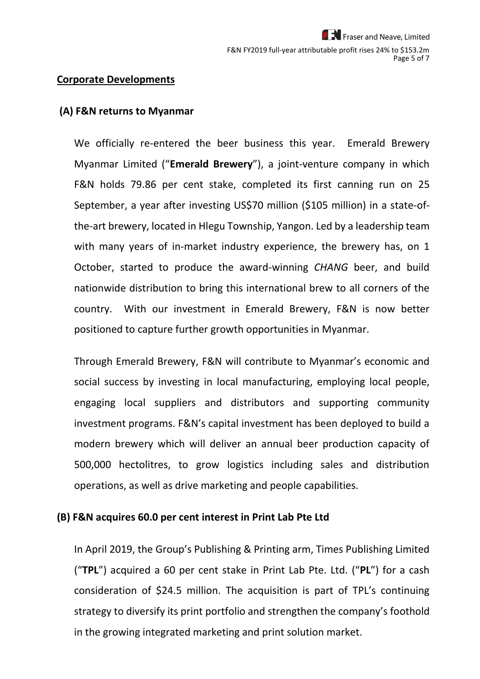#### **Corporate Developments**

#### **(A) F&N returns to Myanmar**

We officially re-entered the beer business this year. Emerald Brewery Myanmar Limited ("**Emerald Brewery**"), a joint-venture company in which F&N holds 79.86 per cent stake, completed its first canning run on 25 September, a year after investing US\$70 million (\$105 million) in a state-ofthe-art brewery, located in Hlegu Township, Yangon. Led by a leadership team with many years of in-market industry experience, the brewery has, on 1 October, started to produce the award-winning *CHANG* beer, and build nationwide distribution to bring this international brew to all corners of the country. With our investment in Emerald Brewery, F&N is now better positioned to capture further growth opportunities in Myanmar.

Through Emerald Brewery, F&N will contribute to Myanmar's economic and social success by investing in local manufacturing, employing local people, engaging local suppliers and distributors and supporting community investment programs. F&N's capital investment has been deployed to build a modern brewery which will deliver an annual beer production capacity of 500,000 hectolitres, to grow logistics including sales and distribution operations, as well as drive marketing and people capabilities.

#### **(B) F&N acquires 60.0 per cent interest in Print Lab Pte Ltd**

In April 2019, the Group's Publishing & Printing arm, Times Publishing Limited ("**TPL**") acquired a 60 per cent stake in Print Lab Pte. Ltd. ("**PL**") for a cash consideration of \$24.5 million. The acquisition is part of TPL's continuing strategy to diversify its print portfolio and strengthen the company's foothold in the growing integrated marketing and print solution market.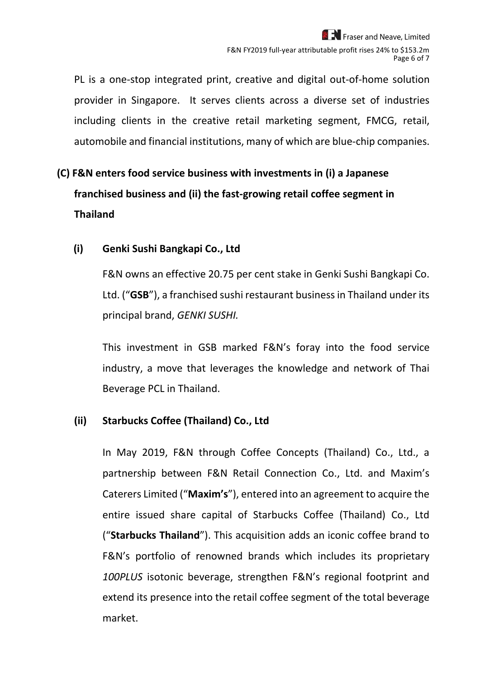PL is a one-stop integrated print, creative and digital out-of-home solution provider in Singapore. It serves clients across a diverse set of industries including clients in the creative retail marketing segment, FMCG, retail, automobile and financial institutions, many of which are blue-chip companies.

## **(C) F&N enters food service business with investments in (i) a Japanese franchised business and (ii) the fast-growing retail coffee segment in Thailand**

### **(i) Genki Sushi Bangkapi Co., Ltd**

F&N owns an effective 20.75 per cent stake in Genki Sushi Bangkapi Co. Ltd. ("**GSB**"), a franchised sushi restaurant business in Thailand under its principal brand, *GENKI SUSHI.*

This investment in GSB marked F&N's foray into the food service industry, a move that leverages the knowledge and network of Thai Beverage PCL in Thailand.

### **(ii) Starbucks Coffee (Thailand) Co., Ltd**

In May 2019, F&N through Coffee Concepts (Thailand) Co., Ltd., a partnership between F&N Retail Connection Co., Ltd. and Maxim's Caterers Limited ("**Maxim's**"), entered into an agreement to acquire the entire issued share capital of Starbucks Coffee (Thailand) Co., Ltd ("**Starbucks Thailand**"). This acquisition adds an iconic coffee brand to F&N's portfolio of renowned brands which includes its proprietary *100PLUS* isotonic beverage, strengthen F&N's regional footprint and extend its presence into the retail coffee segment of the total beverage market.